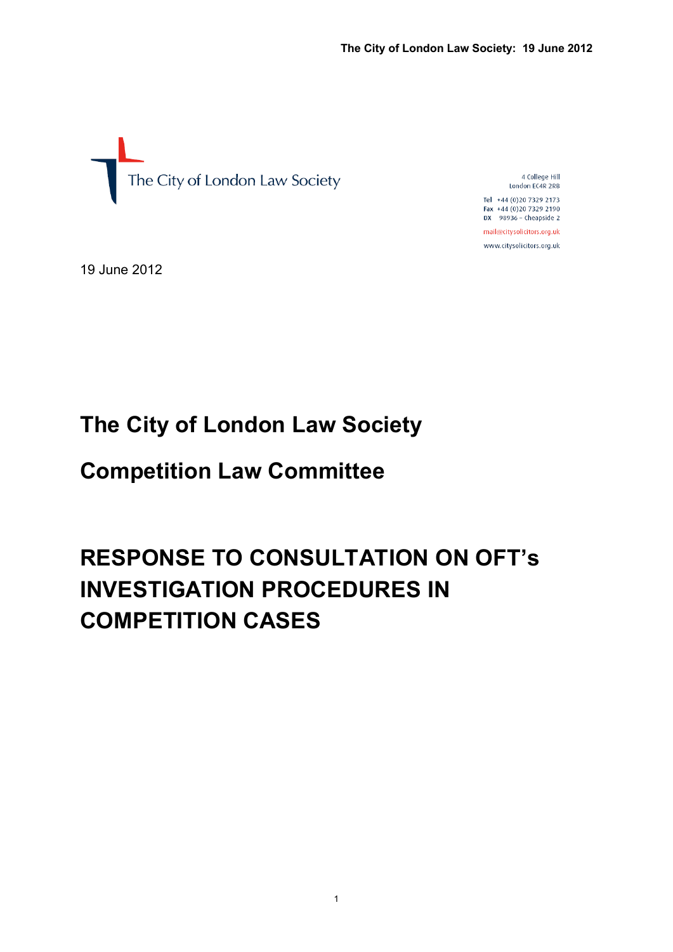

4 College Hill London EC4R 2RB

Tel +44 (0)20 7329 2173 Fax +44 (0)20 7329 2190  $DX$  98936 - Cheapside 2 mail@citysolicitors.org.uk

www.citysolicitors.org.uk

19 June 2012

# **The City of London Law Society**

## **Competition Law Committee**

# **RESPONSE TO CONSULTATION ON OFT's INVESTIGATION PROCEDURES IN COMPETITION CASES**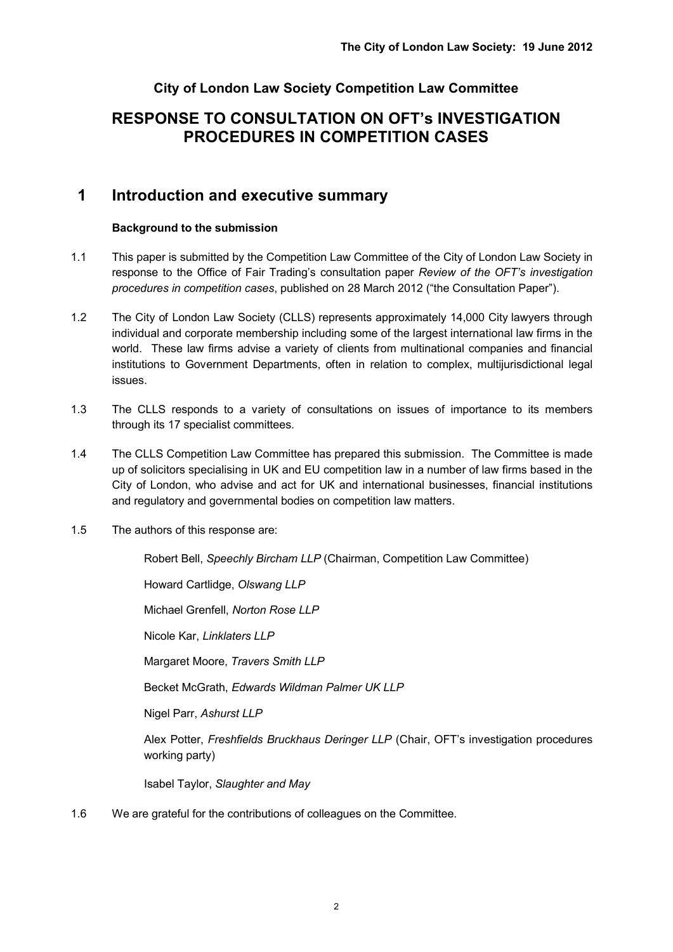## **City of London Law Society Competition Law Committee**

## **RESPONSE TO CONSULTATION ON OFT's INVESTIGATION PROCEDURES IN COMPETITION CASES**

## **1 Introduction and executive summary**

#### **Background to the submission**

- 1.1 This paper is submitted by the Competition Law Committee of the City of London Law Society in response to the Office of Fair Trading's consultation paper *Review of the OFT's investigation procedures in competition cases*, published on 28 March 2012 ("the Consultation Paper").
- 1.2 The City of London Law Society (CLLS) represents approximately 14,000 City lawyers through individual and corporate membership including some of the largest international law firms in the world. These law firms advise a variety of clients from multinational companies and financial institutions to Government Departments, often in relation to complex, multijurisdictional legal issues.
- 1.3 The CLLS responds to a variety of consultations on issues of importance to its members through its 17 specialist committees.
- 1.4 The CLLS Competition Law Committee has prepared this submission. The Committee is made up of solicitors specialising in UK and EU competition law in a number of law firms based in the City of London, who advise and act for UK and international businesses, financial institutions and regulatory and governmental bodies on competition law matters.
- 1.5 The authors of this response are:

Robert Bell, *Speechly Bircham LLP* (Chairman, Competition Law Committee)

Howard Cartlidge, *Olswang LLP*

Michael Grenfell, *Norton Rose LLP*

Nicole Kar, *Linklaters LLP*

Margaret Moore, *Travers Smith LLP*

Becket McGrath, *Edwards Wildman Palmer UK LLP*

Nigel Parr, *Ashurst LLP*

Alex Potter, *Freshfields Bruckhaus Deringer LLP* (Chair, OFT's investigation procedures working party)

Isabel Taylor, *Slaughter and May*

1.6 We are grateful for the contributions of colleagues on the Committee.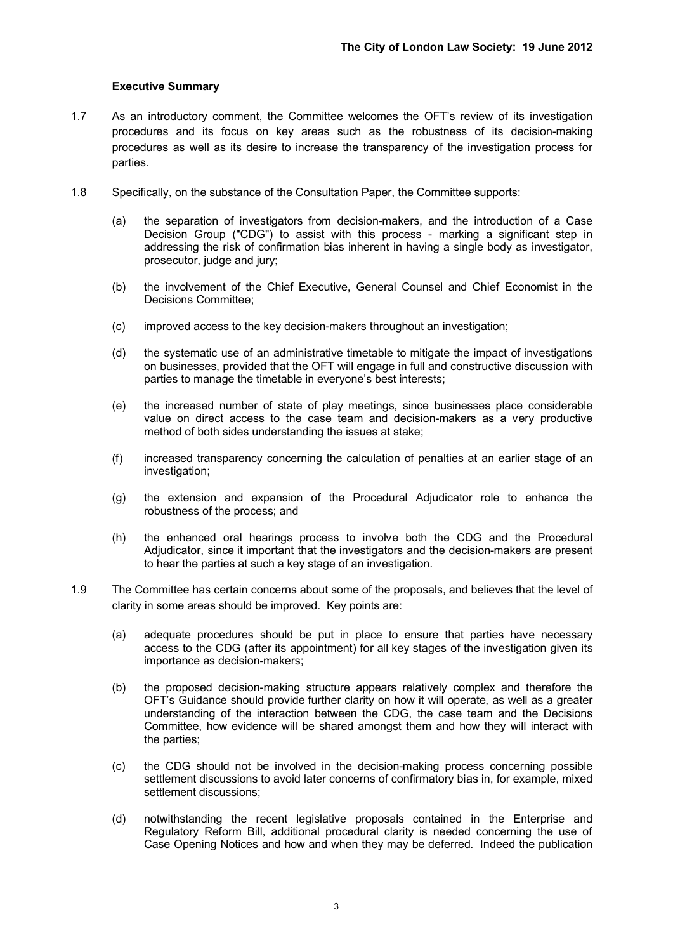#### **Executive Summary**

- 1.7 As an introductory comment, the Committee welcomes the OFT's review of its investigation procedures and its focus on key areas such as the robustness of its decision-making procedures as well as its desire to increase the transparency of the investigation process for parties.
- 1.8 Specifically, on the substance of the Consultation Paper, the Committee supports:
	- (a) the separation of investigators from decision-makers, and the introduction of a Case Decision Group ("CDG") to assist with this process - marking a significant step in addressing the risk of confirmation bias inherent in having a single body as investigator, prosecutor, judge and jury;
	- (b) the involvement of the Chief Executive, General Counsel and Chief Economist in the Decisions Committee;
	- (c) improved access to the key decision-makers throughout an investigation;
	- (d) the systematic use of an administrative timetable to mitigate the impact of investigations on businesses, provided that the OFT will engage in full and constructive discussion with parties to manage the timetable in everyone's best interests;
	- (e) the increased number of state of play meetings, since businesses place considerable value on direct access to the case team and decision-makers as a very productive method of both sides understanding the issues at stake;
	- (f) increased transparency concerning the calculation of penalties at an earlier stage of an investigation;
	- (g) the extension and expansion of the Procedural Adjudicator role to enhance the robustness of the process; and
	- (h) the enhanced oral hearings process to involve both the CDG and the Procedural Adjudicator, since it important that the investigators and the decision-makers are present to hear the parties at such a key stage of an investigation.
- 1.9 The Committee has certain concerns about some of the proposals, and believes that the level of clarity in some areas should be improved. Key points are:
	- (a) adequate procedures should be put in place to ensure that parties have necessary access to the CDG (after its appointment) for all key stages of the investigation given its importance as decision-makers;
	- (b) the proposed decision-making structure appears relatively complex and therefore the OFT's Guidance should provide further clarity on how it will operate, as well as a greater understanding of the interaction between the CDG, the case team and the Decisions Committee, how evidence will be shared amongst them and how they will interact with the parties;
	- (c) the CDG should not be involved in the decision-making process concerning possible settlement discussions to avoid later concerns of confirmatory bias in, for example, mixed settlement discussions;
	- (d) notwithstanding the recent legislative proposals contained in the Enterprise and Regulatory Reform Bill, additional procedural clarity is needed concerning the use of Case Opening Notices and how and when they may be deferred. Indeed the publication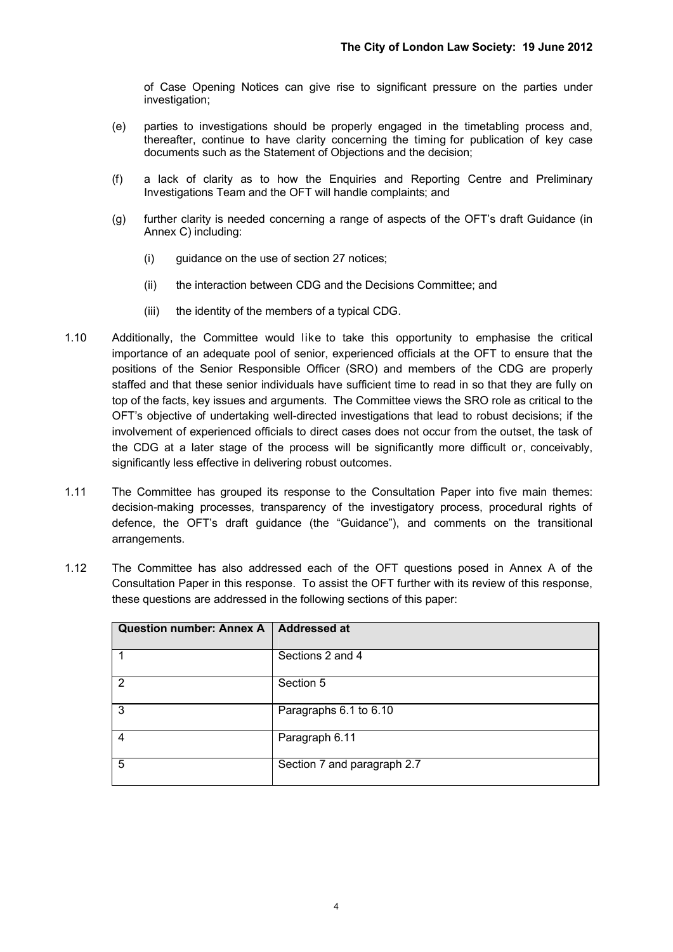of Case Opening Notices can give rise to significant pressure on the parties under investigation;

- (e) parties to investigations should be properly engaged in the timetabling process and, thereafter, continue to have clarity concerning the timing for publication of key case documents such as the Statement of Objections and the decision;
- (f) a lack of clarity as to how the Enquiries and Reporting Centre and Preliminary Investigations Team and the OFT will handle complaints; and
- (g) further clarity is needed concerning a range of aspects of the OFT's draft Guidance (in Annex C) including:
	- (i) guidance on the use of section 27 notices;
	- (ii) the interaction between CDG and the Decisions Committee; and
	- (iii) the identity of the members of a typical CDG.
- 1.10 Additionally, the Committee would like to take this opportunity to emphasise the critical importance of an adequate pool of senior, experienced officials at the OFT to ensure that the positions of the Senior Responsible Officer (SRO) and members of the CDG are properly staffed and that these senior individuals have sufficient time to read in so that they are fully on top of the facts, key issues and arguments. The Committee views the SRO role as critical to the OFT's objective of undertaking well-directed investigations that lead to robust decisions; if the involvement of experienced officials to direct cases does not occur from the outset, the task of the CDG at a later stage of the process will be significantly more difficult or, conceivably, significantly less effective in delivering robust outcomes.
- 1.11 The Committee has grouped its response to the Consultation Paper into five main themes: decision-making processes, transparency of the investigatory process, procedural rights of defence, the OFT's draft guidance (the "Guidance"), and comments on the transitional arrangements.
- 1.12 The Committee has also addressed each of the OFT questions posed in Annex A of the Consultation Paper in this response. To assist the OFT further with its review of this response, these questions are addressed in the following sections of this paper:

| Question number: Annex A   Addressed at |                             |
|-----------------------------------------|-----------------------------|
|                                         | Sections 2 and 4            |
| 2                                       | Section 5                   |
| 3                                       | Paragraphs 6.1 to 6.10      |
| 4                                       | Paragraph 6.11              |
| 5                                       | Section 7 and paragraph 2.7 |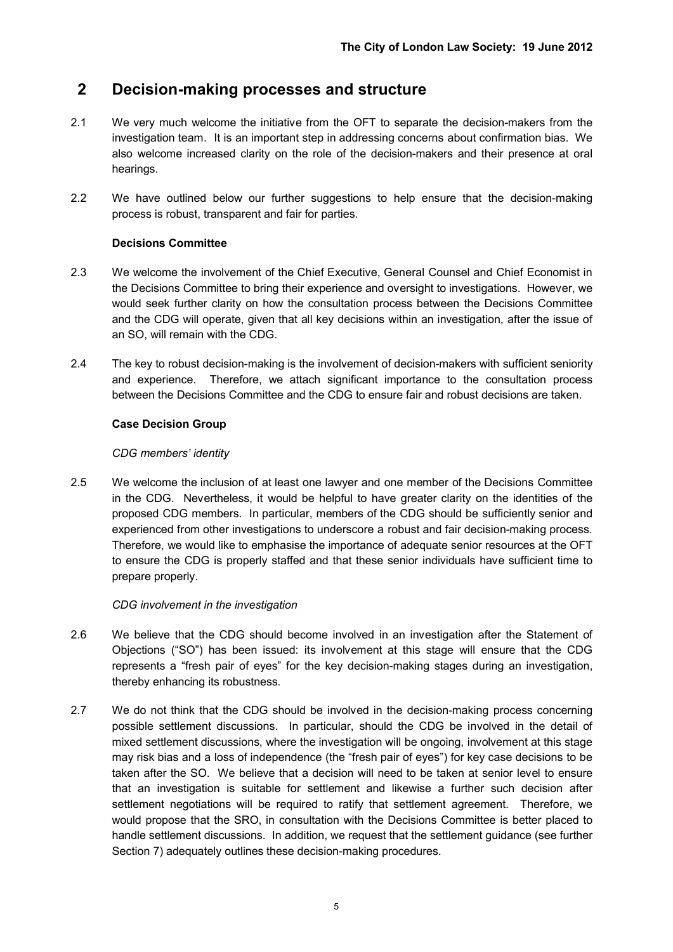## **2 Decision-making processes and structure**

- 2.1 We very much welcome the initiative from the OFT to separate the decision-makers from the investigation team. It is an important step in addressing concerns about confirmation bias. We also welcome increased clarity on the role of the decision-makers and their presence at oral hearings.
- 2.2 We have outlined below our further suggestions to help ensure that the decision-making process is robust, transparent and fair for parties.

#### **Decisions Committee**

- 2.3 We welcome the involvement of the Chief Executive, General Counsel and Chief Economist in the Decisions Committee to bring their experience and oversight to investigations. However, we would seek further clarity on how the consultation process between the Decisions Committee and the CDG will operate, given that all key decisions within an investigation, after the issue of an SO, will remain with the CDG.
- 2.4 The key to robust decision-making is the involvement of decision-makers with sufficient seniority and experience. Therefore, we attach significant importance to the consultation process between the Decisions Committee and the CDG to ensure fair and robust decisions are taken.

#### **Case Decision Group**

#### *CDG members' identity*

2.5 We welcome the inclusion of at least one lawyer and one member of the Decisions Committee in the CDG. Nevertheless, it would be helpful to have greater clarity on the identities of the proposed CDG members. In particular, members of the CDG should be sufficiently senior and experienced from other investigations to underscore a robust and fair decision-making process. Therefore, we would like to emphasise the importance of adequate senior resources at the OFT to ensure the CDG is properly staffed and that these senior individuals have sufficient time to prepare properly.

#### *CDG involvement in the investigation*

- 2.6 We believe that the CDG should become involved in an investigation after the Statement of Objections ("SO") has been issued: its involvement at this stage will ensure that the CDG represents a "fresh pair of eyes" for the key decision-making stages during an investigation, thereby enhancing its robustness.
- 2.7 We do not think that the CDG should be involved in the decision-making process concerning possible settlement discussions. In particular, should the CDG be involved in the detail of mixed settlement discussions, where the investigation will be ongoing, involvement at this stage may risk bias and a loss of independence (the "fresh pair of eyes") for key case decisions to be taken after the SO. We believe that a decision will need to be taken at senior level to ensure that an investigation is suitable for settlement and likewise a further such decision after settlement negotiations will be required to ratify that settlement agreement. Therefore, we would propose that the SRO, in consultation with the Decisions Committee is better placed to handle settlement discussions. In addition, we request that the settlement guidance (see further Section 7) adequately outlines these decision-making procedures.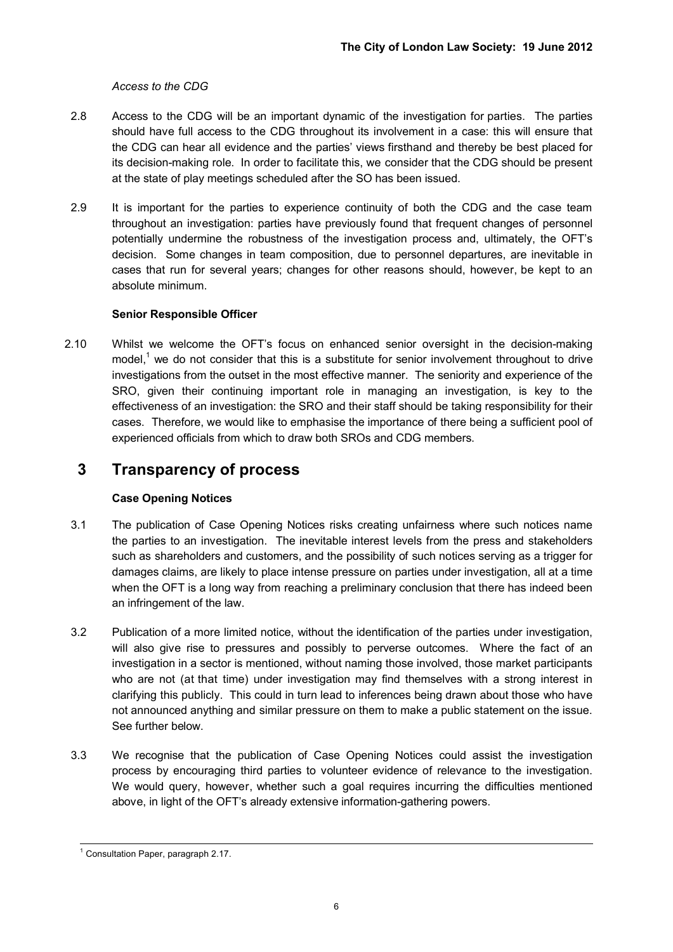#### *Access to the CDG*

- 2.8 Access to the CDG will be an important dynamic of the investigation for parties. The parties should have full access to the CDG throughout its involvement in a case: this will ensure that the CDG can hear all evidence and the parties' views firsthand and thereby be best placed for its decision-making role. In order to facilitate this, we consider that the CDG should be present at the state of play meetings scheduled after the SO has been issued.
- 2.9 It is important for the parties to experience continuity of both the CDG and the case team throughout an investigation: parties have previously found that frequent changes of personnel potentially undermine the robustness of the investigation process and, ultimately, the OFT's decision. Some changes in team composition, due to personnel departures, are inevitable in cases that run for several years; changes for other reasons should, however, be kept to an absolute minimum.

#### **Senior Responsible Officer**

2.10 Whilst we welcome the OFT's focus on enhanced senior oversight in the decision-making model,<sup>1</sup> we do not consider that this is a substitute for senior involvement throughout to drive investigations from the outset in the most effective manner. The seniority and experience of the SRO, given their continuing important role in managing an investigation, is key to the effectiveness of an investigation: the SRO and their staff should be taking responsibility for their cases. Therefore, we would like to emphasise the importance of there being a sufficient pool of experienced officials from which to draw both SROs and CDG members.

## **3 Transparency of process**

#### **Case Opening Notices**

- 3.1 The publication of Case Opening Notices risks creating unfairness where such notices name the parties to an investigation. The inevitable interest levels from the press and stakeholders such as shareholders and customers, and the possibility of such notices serving as a trigger for damages claims, are likely to place intense pressure on parties under investigation, all at a time when the OFT is a long way from reaching a preliminary conclusion that there has indeed been an infringement of the law.
- 3.2 Publication of a more limited notice, without the identification of the parties under investigation, will also give rise to pressures and possibly to perverse outcomes. Where the fact of an investigation in a sector is mentioned, without naming those involved, those market participants who are not (at that time) under investigation may find themselves with a strong interest in clarifying this publicly. This could in turn lead to inferences being drawn about those who have not announced anything and similar pressure on them to make a public statement on the issue. See further below.
- 3.3 We recognise that the publication of Case Opening Notices could assist the investigation process by encouraging third parties to volunteer evidence of relevance to the investigation. We would query, however, whether such a goal requires incurring the difficulties mentioned above, in light of the OFT's already extensive information-gathering powers.

<sup>&</sup>lt;u>.</u><br><sup>1</sup> Consultation Paper, paragraph 2.17.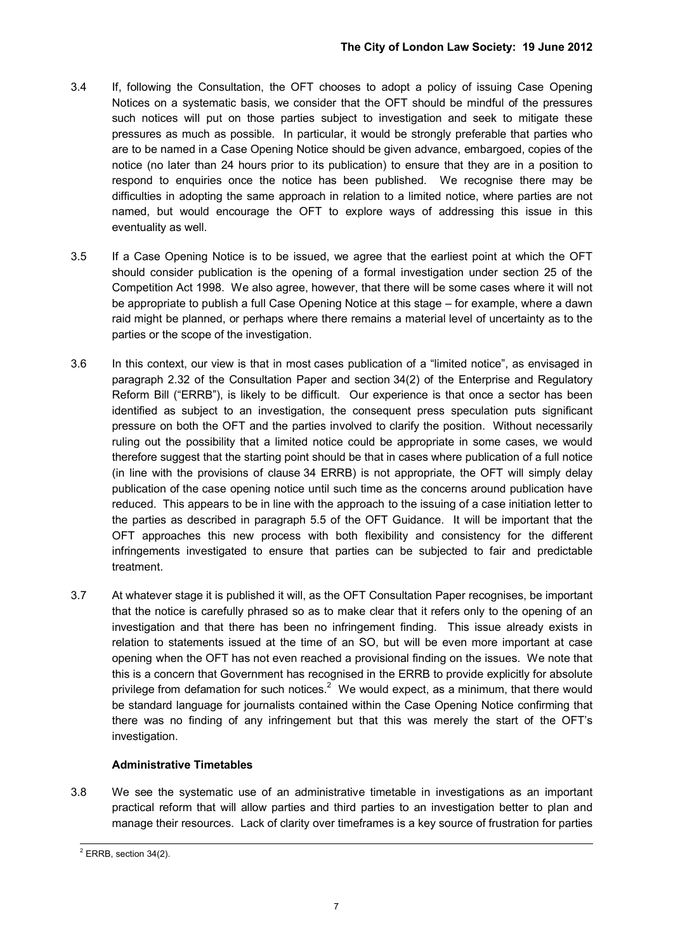- 3.4 If, following the Consultation, the OFT chooses to adopt a policy of issuing Case Opening Notices on a systematic basis, we consider that the OFT should be mindful of the pressures such notices will put on those parties subject to investigation and seek to mitigate these pressures as much as possible. In particular, it would be strongly preferable that parties who are to be named in a Case Opening Notice should be given advance, embargoed, copies of the notice (no later than 24 hours prior to its publication) to ensure that they are in a position to respond to enquiries once the notice has been published. We recognise there may be difficulties in adopting the same approach in relation to a limited notice, where parties are not named, but would encourage the OFT to explore ways of addressing this issue in this eventuality as well.
- 3.5 If a Case Opening Notice is to be issued, we agree that the earliest point at which the OFT should consider publication is the opening of a formal investigation under section 25 of the Competition Act 1998. We also agree, however, that there will be some cases where it will not be appropriate to publish a full Case Opening Notice at this stage – for example, where a dawn raid might be planned, or perhaps where there remains a material level of uncertainty as to the parties or the scope of the investigation.
- 3.6 In this context, our view is that in most cases publication of a "limited notice", as envisaged in paragraph 2.32 of the Consultation Paper and section 34(2) of the Enterprise and Regulatory Reform Bill ("ERRB"), is likely to be difficult. Our experience is that once a sector has been identified as subject to an investigation, the consequent press speculation puts significant pressure on both the OFT and the parties involved to clarify the position. Without necessarily ruling out the possibility that a limited notice could be appropriate in some cases, we would therefore suggest that the starting point should be that in cases where publication of a full notice (in line with the provisions of clause 34 ERRB) is not appropriate, the OFT will simply delay publication of the case opening notice until such time as the concerns around publication have reduced. This appears to be in line with the approach to the issuing of a case initiation letter to the parties as described in paragraph 5.5 of the OFT Guidance. It will be important that the OFT approaches this new process with both flexibility and consistency for the different infringements investigated to ensure that parties can be subjected to fair and predictable treatment.
- 3.7 At whatever stage it is published it will, as the OFT Consultation Paper recognises, be important that the notice is carefully phrased so as to make clear that it refers only to the opening of an investigation and that there has been no infringement finding. This issue already exists in relation to statements issued at the time of an SO, but will be even more important at case opening when the OFT has not even reached a provisional finding on the issues. We note that this is a concern that Government has recognised in the ERRB to provide explicitly for absolute privilege from defamation for such notices.<sup>2</sup> We would expect, as a minimum, that there would be standard language for journalists contained within the Case Opening Notice confirming that there was no finding of any infringement but that this was merely the start of the OFT's investigation.

#### **Administrative Timetables**

3.8 We see the systematic use of an administrative timetable in investigations as an important practical reform that will allow parties and third parties to an investigation better to plan and manage their resources. Lack of clarity over timeframes is a key source of frustration for parties

 2 ERRB, section 34(2).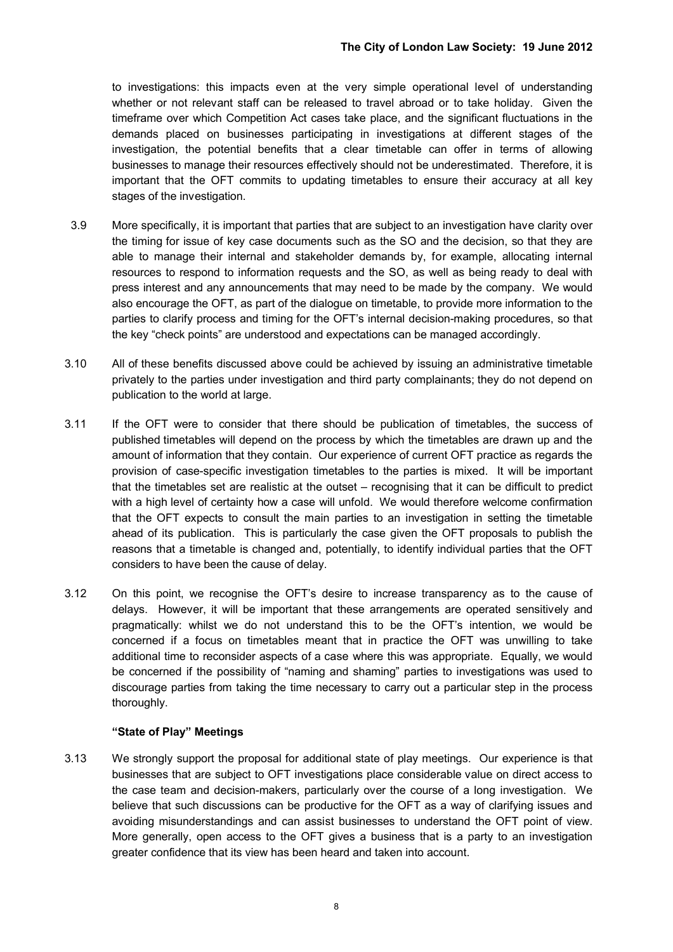to investigations: this impacts even at the very simple operational level of understanding whether or not relevant staff can be released to travel abroad or to take holiday. Given the timeframe over which Competition Act cases take place, and the significant fluctuations in the demands placed on businesses participating in investigations at different stages of the investigation, the potential benefits that a clear timetable can offer in terms of allowing businesses to manage their resources effectively should not be underestimated. Therefore, it is important that the OFT commits to updating timetables to ensure their accuracy at all key stages of the investigation.

- 3.9 More specifically, it is important that parties that are subject to an investigation have clarity over the timing for issue of key case documents such as the SO and the decision, so that they are able to manage their internal and stakeholder demands by, for example, allocating internal resources to respond to information requests and the SO, as well as being ready to deal with press interest and any announcements that may need to be made by the company. We would also encourage the OFT, as part of the dialogue on timetable, to provide more information to the parties to clarify process and timing for the OFT's internal decision-making procedures, so that the key "check points" are understood and expectations can be managed accordingly.
- 3.10 All of these benefits discussed above could be achieved by issuing an administrative timetable privately to the parties under investigation and third party complainants; they do not depend on publication to the world at large.
- 3.11 If the OFT were to consider that there should be publication of timetables, the success of published timetables will depend on the process by which the timetables are drawn up and the amount of information that they contain. Our experience of current OFT practice as regards the provision of case-specific investigation timetables to the parties is mixed. It will be important that the timetables set are realistic at the outset – recognising that it can be difficult to predict with a high level of certainty how a case will unfold. We would therefore welcome confirmation that the OFT expects to consult the main parties to an investigation in setting the timetable ahead of its publication. This is particularly the case given the OFT proposals to publish the reasons that a timetable is changed and, potentially, to identify individual parties that the OFT considers to have been the cause of delay.
- 3.12 On this point, we recognise the OFT's desire to increase transparency as to the cause of delays. However, it will be important that these arrangements are operated sensitively and pragmatically: whilst we do not understand this to be the OFT's intention, we would be concerned if a focus on timetables meant that in practice the OFT was unwilling to take additional time to reconsider aspects of a case where this was appropriate. Equally, we would be concerned if the possibility of "naming and shaming" parties to investigations was used to discourage parties from taking the time necessary to carry out a particular step in the process thoroughly.

#### **"State of Play" Meetings**

3.13 We strongly support the proposal for additional state of play meetings. Our experience is that businesses that are subject to OFT investigations place considerable value on direct access to the case team and decision-makers, particularly over the course of a long investigation. We believe that such discussions can be productive for the OFT as a way of clarifying issues and avoiding misunderstandings and can assist businesses to understand the OFT point of view. More generally, open access to the OFT gives a business that is a party to an investigation greater confidence that its view has been heard and taken into account.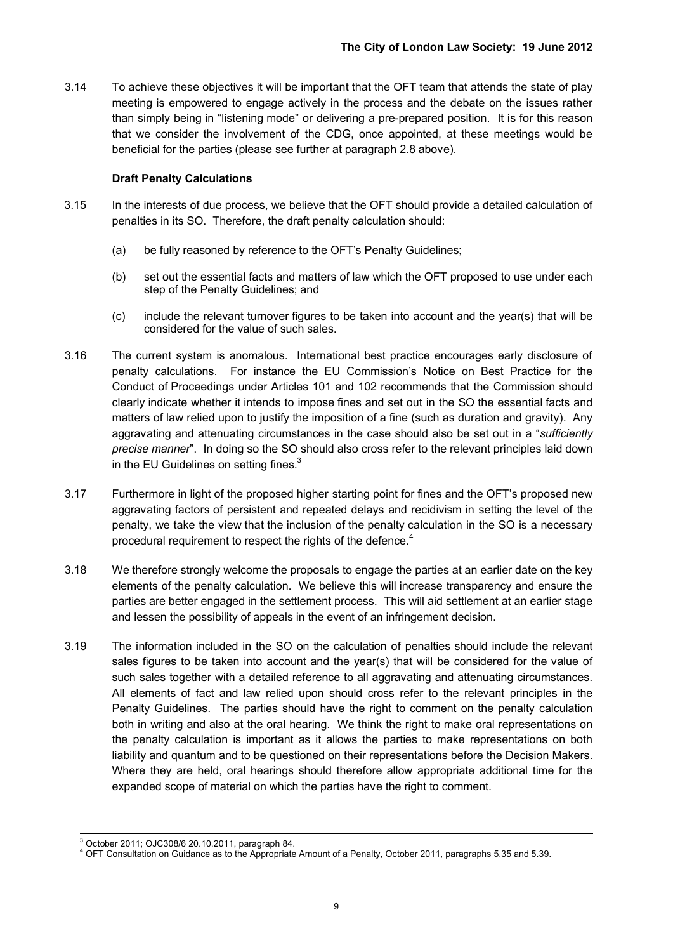3.14 To achieve these objectives it will be important that the OFT team that attends the state of play meeting is empowered to engage actively in the process and the debate on the issues rather than simply being in "listening mode" or delivering a pre-prepared position. It is for this reason that we consider the involvement of the CDG, once appointed, at these meetings would be beneficial for the parties (please see further at paragraph 2.8 above).

#### **Draft Penalty Calculations**

- 3.15 In the interests of due process, we believe that the OFT should provide a detailed calculation of penalties in its SO. Therefore, the draft penalty calculation should:
	- (a) be fully reasoned by reference to the OFT's Penalty Guidelines;
	- (b) set out the essential facts and matters of law which the OFT proposed to use under each step of the Penalty Guidelines; and
	- (c) include the relevant turnover figures to be taken into account and the year(s) that will be considered for the value of such sales.
- 3.16 The current system is anomalous. International best practice encourages early disclosure of penalty calculations. For instance the EU Commission's Notice on Best Practice for the Conduct of Proceedings under Articles 101 and 102 recommends that the Commission should clearly indicate whether it intends to impose fines and set out in the SO the essential facts and matters of law relied upon to justify the imposition of a fine (such as duration and gravity). Any aggravating and attenuating circumstances in the case should also be set out in a "*sufficiently precise manner*". In doing so the SO should also cross refer to the relevant principles laid down in the EU Guidelines on setting fines. $3$
- 3.17 Furthermore in light of the proposed higher starting point for fines and the OFT's proposed new aggravating factors of persistent and repeated delays and recidivism in setting the level of the penalty, we take the view that the inclusion of the penalty calculation in the SO is a necessary procedural requirement to respect the rights of the defence.<sup>4</sup>
- 3.18 We therefore strongly welcome the proposals to engage the parties at an earlier date on the key elements of the penalty calculation. We believe this will increase transparency and ensure the parties are better engaged in the settlement process. This will aid settlement at an earlier stage and lessen the possibility of appeals in the event of an infringement decision.
- 3.19 The information included in the SO on the calculation of penalties should include the relevant sales figures to be taken into account and the year(s) that will be considered for the value of such sales together with a detailed reference to all aggravating and attenuating circumstances. All elements of fact and law relied upon should cross refer to the relevant principles in the Penalty Guidelines. The parties should have the right to comment on the penalty calculation both in writing and also at the oral hearing. We think the right to make oral representations on the penalty calculation is important as it allows the parties to make representations on both liability and quantum and to be questioned on their representations before the Decision Makers. Where they are held, oral hearings should therefore allow appropriate additional time for the expanded scope of material on which the parties have the right to comment.

 3 October 2011; OJC308/6 20.10.2011, paragraph 84.

<sup>4</sup> OFT Consultation on Guidance as to the Appropriate Amount of a Penalty, October 2011, paragraphs 5.35 and 5.39.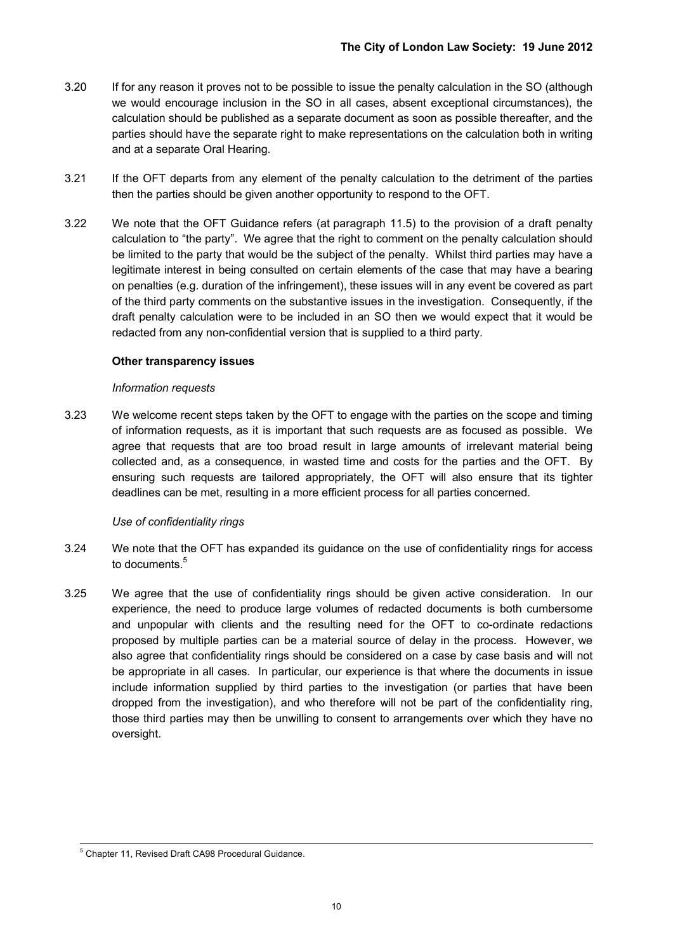- 3.20 If for any reason it proves not to be possible to issue the penalty calculation in the SO (although we would encourage inclusion in the SO in all cases, absent exceptional circumstances), the calculation should be published as a separate document as soon as possible thereafter, and the parties should have the separate right to make representations on the calculation both in writing and at a separate Oral Hearing.
- 3.21 If the OFT departs from any element of the penalty calculation to the detriment of the parties then the parties should be given another opportunity to respond to the OFT.
- 3.22 We note that the OFT Guidance refers (at paragraph 11.5) to the provision of a draft penalty calculation to "the party". We agree that the right to comment on the penalty calculation should be limited to the party that would be the subject of the penalty. Whilst third parties may have a legitimate interest in being consulted on certain elements of the case that may have a bearing on penalties (e.g. duration of the infringement), these issues will in any event be covered as part of the third party comments on the substantive issues in the investigation. Consequently, if the draft penalty calculation were to be included in an SO then we would expect that it would be redacted from any non-confidential version that is supplied to a third party.

#### **Other transparency issues**

#### *Information requests*

3.23 We welcome recent steps taken by the OFT to engage with the parties on the scope and timing of information requests, as it is important that such requests are as focused as possible. We agree that requests that are too broad result in large amounts of irrelevant material being collected and, as a consequence, in wasted time and costs for the parties and the OFT. By ensuring such requests are tailored appropriately, the OFT will also ensure that its tighter deadlines can be met, resulting in a more efficient process for all parties concerned.

#### *Use of confidentiality rings*

- 3.24 We note that the OFT has expanded its guidance on the use of confidentiality rings for access to documents.<sup>5</sup>
- 3.25 We agree that the use of confidentiality rings should be given active consideration. In our experience, the need to produce large volumes of redacted documents is both cumbersome and unpopular with clients and the resulting need for the OFT to co-ordinate redactions proposed by multiple parties can be a material source of delay in the process. However, we also agree that confidentiality rings should be considered on a case by case basis and will not be appropriate in all cases. In particular, our experience is that where the documents in issue include information supplied by third parties to the investigation (or parties that have been dropped from the investigation), and who therefore will not be part of the confidentiality ring, those third parties may then be unwilling to consent to arrangements over which they have no oversight.

<sup>-</sup><sup>5</sup> Chapter 11, Revised Draft CA98 Procedural Guidance.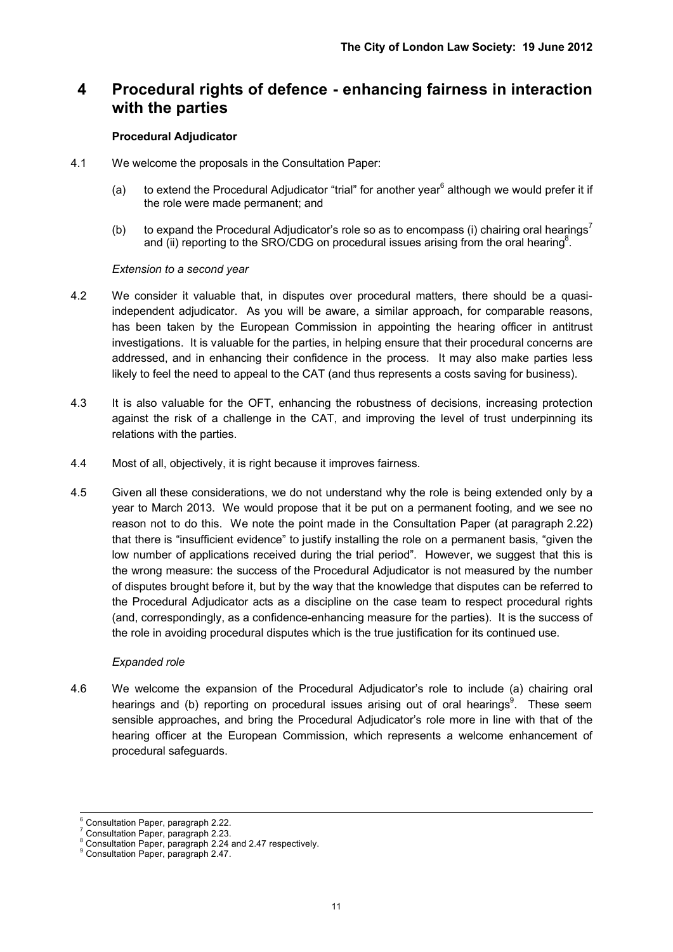## **4 Procedural rights of defence - enhancing fairness in interaction with the parties**

#### **Procedural Adjudicator**

- 4.1 We welcome the proposals in the Consultation Paper:
	- (a) to extend the Procedural Adjudicator "trial" for another year $^6$  although we would prefer it if the role were made permanent; and
	- (b) to expand the Procedural Adjudicator's role so as to encompass (i) chairing oral hearings<sup>7</sup> and (ii) reporting to the SRO/CDG on procedural issues arising from the oral hearing<sup>8</sup>.

#### *Extension to a second year*

- 4.2 We consider it valuable that, in disputes over procedural matters, there should be a quasiindependent adjudicator. As you will be aware, a similar approach, for comparable reasons, has been taken by the European Commission in appointing the hearing officer in antitrust investigations. It is valuable for the parties, in helping ensure that their procedural concerns are addressed, and in enhancing their confidence in the process. It may also make parties less likely to feel the need to appeal to the CAT (and thus represents a costs saving for business).
- 4.3 It is also valuable for the OFT, enhancing the robustness of decisions, increasing protection against the risk of a challenge in the CAT, and improving the level of trust underpinning its relations with the parties.
- 4.4 Most of all, objectively, it is right because it improves fairness.
- 4.5 Given all these considerations, we do not understand why the role is being extended only by a year to March 2013. We would propose that it be put on a permanent footing, and we see no reason not to do this. We note the point made in the Consultation Paper (at paragraph 2.22) that there is "insufficient evidence" to justify installing the role on a permanent basis, "given the low number of applications received during the trial period". However, we suggest that this is the wrong measure: the success of the Procedural Adjudicator is not measured by the number of disputes brought before it, but by the way that the knowledge that disputes can be referred to the Procedural Adjudicator acts as a discipline on the case team to respect procedural rights (and, correspondingly, as a confidence-enhancing measure for the parties). It is the success of the role in avoiding procedural disputes which is the true justification for its continued use.

#### *Expanded role*

4.6 We welcome the expansion of the Procedural Adjudicator's role to include (a) chairing oral hearings and (b) reporting on procedural issues arising out of oral hearings<sup>9</sup>. These seem sensible approaches, and bring the Procedural Adjudicator's role more in line with that of the hearing officer at the European Commission, which represents a welcome enhancement of procedural safeguards.

 6 Consultation Paper, paragraph 2.22.

<sup>&</sup>lt;sup>7</sup> Consultation Paper, paragraph 2.23.

Consultation Paper, paragraph 2.24 and 2.47 respectively.

<sup>9</sup> Consultation Paper, paragraph 2.47.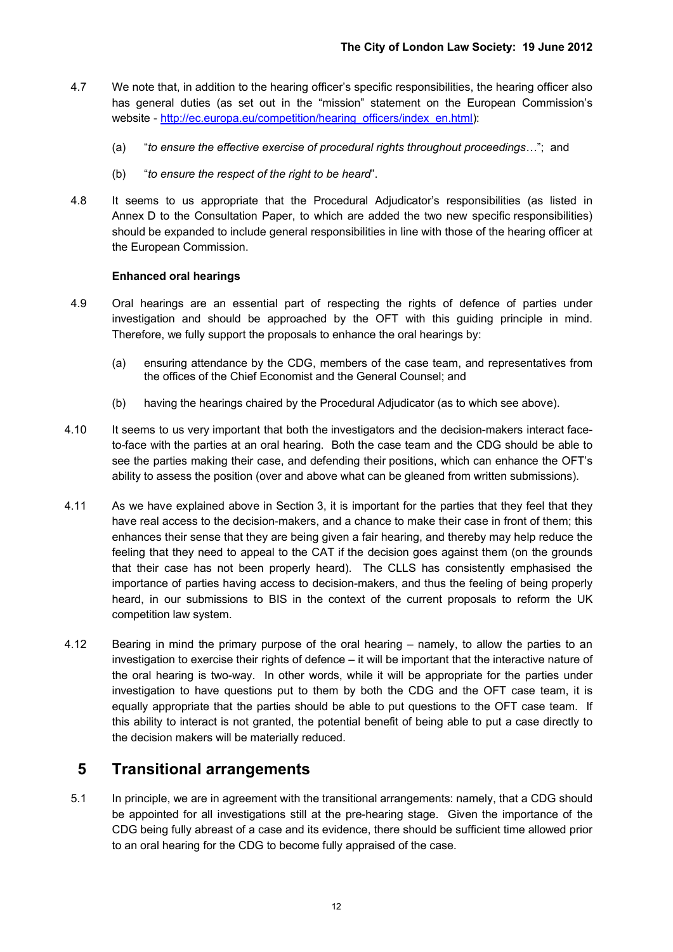- 4.7 We note that, in addition to the hearing officer's specific responsibilities, the hearing officer also has general duties (as set out in the "mission" statement on the European Commission's website - http://ec.europa.eu/competition/hearing\_officers/index\_en.html):
	- (a) "*to ensure the effective exercise of procedural rights throughout proceedings…*"; and
	- (b) "*to ensure the respect of the right to be heard*".
- 4.8 It seems to us appropriate that the Procedural Adjudicator's responsibilities (as listed in Annex D to the Consultation Paper, to which are added the two new specific responsibilities) should be expanded to include general responsibilities in line with those of the hearing officer at the European Commission.

#### **Enhanced oral hearings**

- 4.9 Oral hearings are an essential part of respecting the rights of defence of parties under investigation and should be approached by the OFT with this guiding principle in mind. Therefore, we fully support the proposals to enhance the oral hearings by:
	- (a) ensuring attendance by the CDG, members of the case team, and representatives from the offices of the Chief Economist and the General Counsel; and
	- (b) having the hearings chaired by the Procedural Adjudicator (as to which see above).
- 4.10 It seems to us very important that both the investigators and the decision-makers interact faceto-face with the parties at an oral hearing. Both the case team and the CDG should be able to see the parties making their case, and defending their positions, which can enhance the OFT's ability to assess the position (over and above what can be gleaned from written submissions).
- 4.11 As we have explained above in Section 3, it is important for the parties that they feel that they have real access to the decision-makers, and a chance to make their case in front of them; this enhances their sense that they are being given a fair hearing, and thereby may help reduce the feeling that they need to appeal to the CAT if the decision goes against them (on the grounds that their case has not been properly heard). The CLLS has consistently emphasised the importance of parties having access to decision-makers, and thus the feeling of being properly heard, in our submissions to BIS in the context of the current proposals to reform the UK competition law system.
- 4.12 Bearing in mind the primary purpose of the oral hearing namely, to allow the parties to an investigation to exercise their rights of defence – it will be important that the interactive nature of the oral hearing is two-way. In other words, while it will be appropriate for the parties under investigation to have questions put to them by both the CDG and the OFT case team, it is equally appropriate that the parties should be able to put questions to the OFT case team. If this ability to interact is not granted, the potential benefit of being able to put a case directly to the decision makers will be materially reduced.

## **5 Transitional arrangements**

5.1 In principle, we are in agreement with the transitional arrangements: namely, that a CDG should be appointed for all investigations still at the pre-hearing stage. Given the importance of the CDG being fully abreast of a case and its evidence, there should be sufficient time allowed prior to an oral hearing for the CDG to become fully appraised of the case.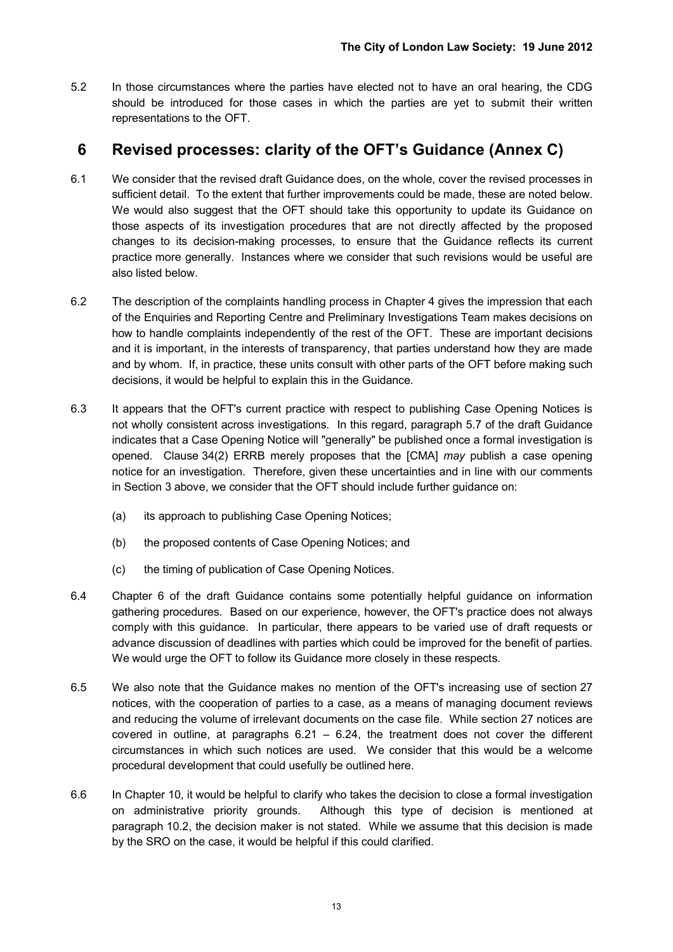5.2 In those circumstances where the parties have elected not to have an oral hearing, the CDG should be introduced for those cases in which the parties are yet to submit their written representations to the OFT.

## **6 Revised processes: clarity of the OFT's Guidance (Annex C)**

- 6.1 We consider that the revised draft Guidance does, on the whole, cover the revised processes in sufficient detail. To the extent that further improvements could be made, these are noted below. We would also suggest that the OFT should take this opportunity to update its Guidance on those aspects of its investigation procedures that are not directly affected by the proposed changes to its decision-making processes, to ensure that the Guidance reflects its current practice more generally. Instances where we consider that such revisions would be useful are also listed below.
- 6.2 The description of the complaints handling process in Chapter 4 gives the impression that each of the Enquiries and Reporting Centre and Preliminary Investigations Team makes decisions on how to handle complaints independently of the rest of the OFT. These are important decisions and it is important, in the interests of transparency, that parties understand how they are made and by whom. If, in practice, these units consult with other parts of the OFT before making such decisions, it would be helpful to explain this in the Guidance.
- 6.3 It appears that the OFT's current practice with respect to publishing Case Opening Notices is not wholly consistent across investigations. In this regard, paragraph 5.7 of the draft Guidance indicates that a Case Opening Notice will "generally" be published once a formal investigation is opened. Clause 34(2) ERRB merely proposes that the [CMA] *may* publish a case opening notice for an investigation. Therefore, given these uncertainties and in line with our comments in Section 3 above, we consider that the OFT should include further guidance on:
	- (a) its approach to publishing Case Opening Notices;
	- (b) the proposed contents of Case Opening Notices; and
	- (c) the timing of publication of Case Opening Notices.
- 6.4 Chapter 6 of the draft Guidance contains some potentially helpful guidance on information gathering procedures. Based on our experience, however, the OFT's practice does not always comply with this guidance. In particular, there appears to be varied use of draft requests or advance discussion of deadlines with parties which could be improved for the benefit of parties. We would urge the OFT to follow its Guidance more closely in these respects.
- 6.5 We also note that the Guidance makes no mention of the OFT's increasing use of section 27 notices, with the cooperation of parties to a case, as a means of managing document reviews and reducing the volume of irrelevant documents on the case file. While section 27 notices are covered in outline, at paragraphs  $6.21 - 6.24$ , the treatment does not cover the different circumstances in which such notices are used. We consider that this would be a welcome procedural development that could usefully be outlined here.
- 6.6 In Chapter 10, it would be helpful to clarify who takes the decision to close a formal investigation on administrative priority grounds. Although this type of decision is mentioned at paragraph 10.2, the decision maker is not stated. While we assume that this decision is made by the SRO on the case, it would be helpful if this could clarified.